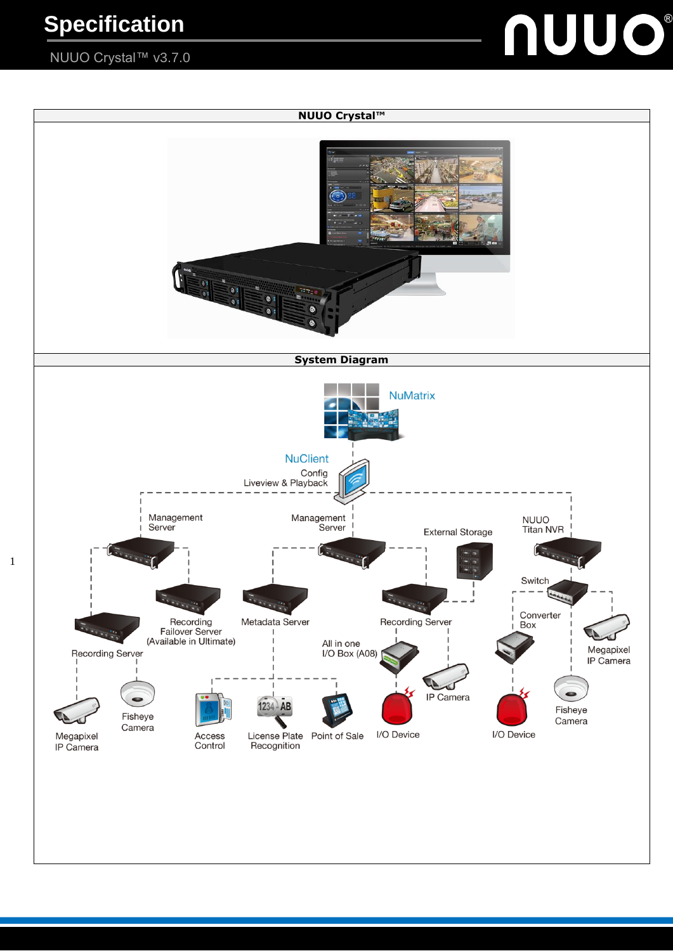## NUUO Crystal™ v3.7.0



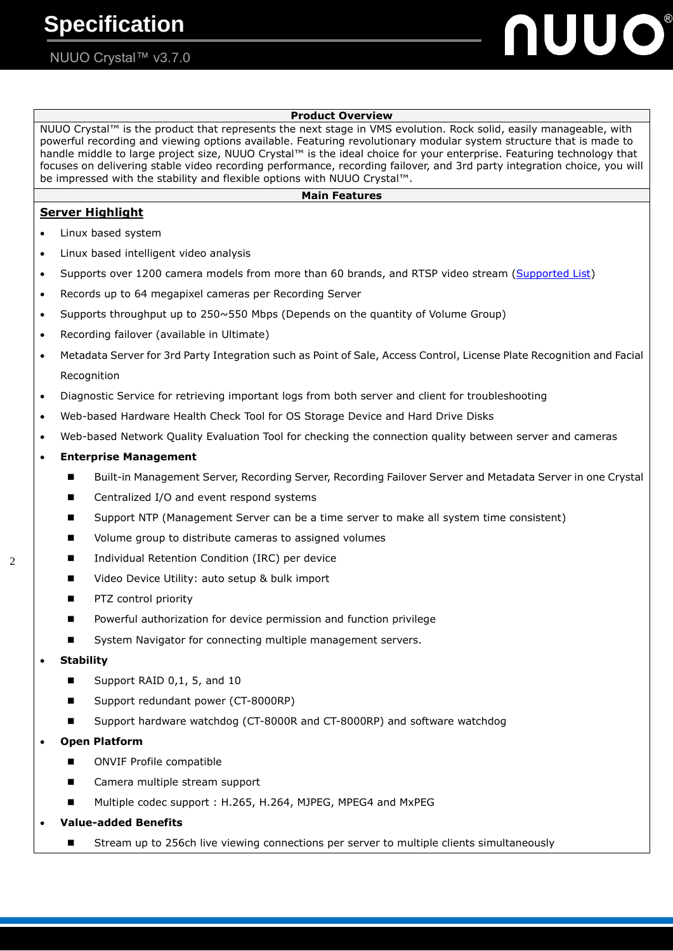# **UUO®**

## **Product Overview** NUUO Crystal™ is the product that represents the next stage in VMS evolution. Rock solid, easily manageable, with powerful recording and viewing options available. Featuring revolutionary modular system structure that is made to handle middle to large project size, NUUO Crystal™ is the ideal choice for your enterprise. Featuring technology that focuses on delivering stable video recording performance, recording failover, and 3rd party integration choice, you will be impressed with the stability and flexible options with NUUO Crystal™. **Main Features Server Highlight** Linux based system Linux based intelligent video analysis Supports over 1200 camera models from more than 60 brands, and RTSP video stream [\(Supported List\)](http://www.nuuo.com/SupportCamera.php?node_id=4) Records up to 64 megapixel cameras per Recording Server Supports throughput up to 250~550 Mbps (Depends on the quantity of Volume Group) Recording failover (available in Ultimate) Metadata Server for 3rd Party Integration such as Point of Sale, Access Control, License Plate Recognition and Facial Recognition Diagnostic Service for retrieving important logs from both server and client for troubleshooting Web-based Hardware Health Check Tool for OS Storage Device and Hard Drive Disks Web-based Network Quality Evaluation Tool for checking the connection quality between server and cameras **Enterprise Management** Built-in Management Server, Recording Server, Recording Failover Server and Metadata Server in one Crystal Centralized I/O and event respond systems ■ Support NTP (Management Server can be a time server to make all system time consistent) Volume group to distribute cameras to assigned volumes Individual Retention Condition (IRC) per device Video Device Utility: auto setup & bulk import PTZ control priority **P** Powerful authorization for device permission and function privilege ■ System Navigator for connecting multiple management servers. **Stability** ■ Support RAID 0,1, 5, and 10 Support redundant power (CT-8000RP) ■ Support hardware watchdog (CT-8000R and CT-8000RP) and software watchdog **Open Platform** ■ ONVIF Profile compatible Camera multiple stream support Multiple codec support : H.265, H.264, MJPEG, MPEG4 and MxPEG

**Value-added Benefits**

 $\mathcal{L}$ 

Stream up to 256ch live viewing connections per server to multiple clients simultaneously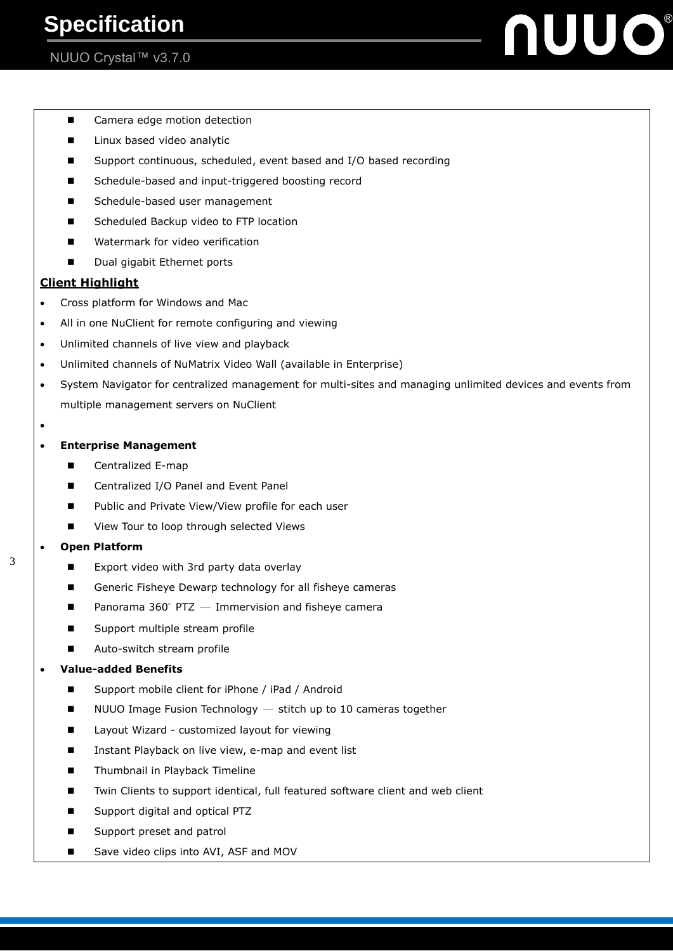## NUUO Crystal™ v3.7.0

JUO®

- Camera edge motion detection
- **Linux based video analytic**
- Support continuous, scheduled, event based and I/O based recording
- Schedule-based and input-triggered boosting record
- Schedule-based user management
- Scheduled Backup video to FTP location
- Watermark for video verification
- Dual gigabit Ethernet ports

#### **Client Highlight**

- Cross platform for Windows and Mac
- All in one NuClient for remote configuring and viewing
- Unlimited channels of live view and playback
- Unlimited channels of NuMatrix Video Wall (available in Enterprise)
- System Navigator for centralized management for multi-sites and managing unlimited devices and events from multiple management servers on NuClient
- $\bullet$

#### **Enterprise Management**

- Centralized E-map
- Centralized I/O Panel and Event Panel
- Public and Private View/View profile for each user
- View Tour to loop through selected Views

#### **Open Platform**

- $\blacksquare$  Export video with 3rd party data overlay
- Generic Fisheye Dewarp technology for all fisheye cameras
- **Panorama 360° PTZ**  $-$  **Immervision and fisheye camera**
- Support multiple stream profile
- Auto-switch stream profile

#### **Value-added Benefits**

- Support mobile client for iPhone / iPad / Android
- $\blacksquare$  NUUO Image Fusion Technology  $-$  stitch up to 10 cameras together
- Layout Wizard customized layout for viewing
- Instant Playback on live view, e-map and event list
- **Thumbnail in Playback Timeline**
- Twin Clients to support identical, full featured software client and web client
- Support digital and optical PTZ
- Support preset and patrol
- Save video clips into AVI, ASF and MOV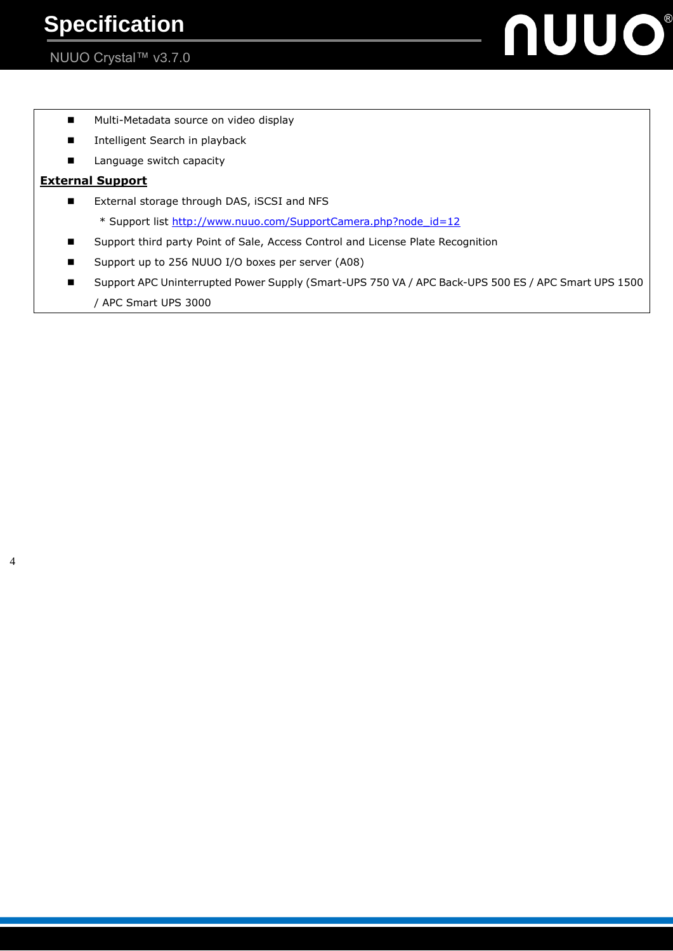nuuo®

- **Multi-Metadata source on video display**
- **Intelligent Search in playback**
- **Language switch capacity**

### **External Support**

- External storage through DAS, iSCSI and NFS
	- \* Support list [http://www.nuuo.com/SupportCamera.php?node\\_id=12](http://www.nuuo.com/SupportCamera.php?node_id=12)
- Support third party Point of Sale, Access Control and License Plate Recognition
- Support up to 256 NUUO I/O boxes per server (A08)
- Support APC Uninterrupted Power Supply (Smart-UPS 750 VA / APC Back-UPS 500 ES / APC Smart UPS 1500 / APC Smart UPS 3000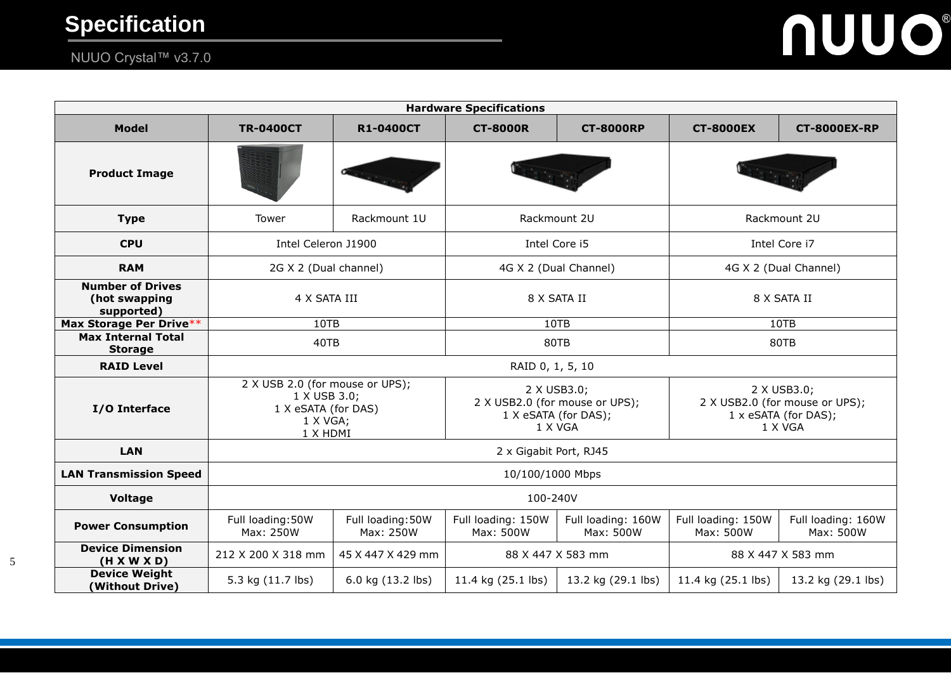# **NUUO®**

## NUUO Crystal™ v3.7.0

| <b>Hardware Specifications</b>                         |                                                                                                |                                |                                                                                  |                                 |                                                                                  |                                 |
|--------------------------------------------------------|------------------------------------------------------------------------------------------------|--------------------------------|----------------------------------------------------------------------------------|---------------------------------|----------------------------------------------------------------------------------|---------------------------------|
| <b>Model</b>                                           | <b>TR-0400CT</b>                                                                               | <b>R1-0400CT</b>               | <b>CT-8000R</b>                                                                  | <b>CT-8000RP</b>                | <b>CT-8000EX</b>                                                                 | <b>CT-8000EX-RP</b>             |
| <b>Product Image</b>                                   |                                                                                                |                                |                                                                                  |                                 |                                                                                  |                                 |
| <b>Type</b>                                            | Tower                                                                                          | Rackmount 1U                   | Rackmount 2U                                                                     |                                 | Rackmount 2U                                                                     |                                 |
| <b>CPU</b>                                             | Intel Celeron J1900                                                                            |                                | Intel Core i5                                                                    |                                 | Intel Core i7                                                                    |                                 |
| <b>RAM</b>                                             | 2G X 2 (Dual channel)                                                                          |                                | 4G X 2 (Dual Channel)                                                            |                                 | 4G X 2 (Dual Channel)                                                            |                                 |
| <b>Number of Drives</b><br>(hot swapping<br>supported) | 4 X SATA III                                                                                   |                                | 8 X SATA II                                                                      |                                 | 8 X SATA II                                                                      |                                 |
| Max Storage Per Drive**                                | 10TB<br>10TB                                                                                   |                                |                                                                                  | 10TB                            |                                                                                  |                                 |
| <b>Max Internal Total</b><br><b>Storage</b>            | 40TB                                                                                           |                                | 80TB                                                                             |                                 | 80TB                                                                             |                                 |
| <b>RAID Level</b>                                      | RAID 0, 1, 5, 10                                                                               |                                |                                                                                  |                                 |                                                                                  |                                 |
| I/O Interface                                          | 2 X USB 2.0 (for mouse or UPS);<br>1 X USB 3.0;<br>1 X eSATA (for DAS)<br>1 X VGA;<br>1 X HDMI |                                | 2 X USB3.0;<br>2 X USB2.0 (for mouse or UPS);<br>1 X eSATA (for DAS);<br>1 X VGA |                                 | 2 X USB3.0;<br>2 X USB2.0 (for mouse or UPS);<br>1 x eSATA (for DAS);<br>1 X VGA |                                 |
| <b>LAN</b>                                             | 2 x Gigabit Port, RJ45                                                                         |                                |                                                                                  |                                 |                                                                                  |                                 |
| <b>LAN Transmission Speed</b>                          | 10/100/1000 Mbps                                                                               |                                |                                                                                  |                                 |                                                                                  |                                 |
| Voltage                                                | 100-240V                                                                                       |                                |                                                                                  |                                 |                                                                                  |                                 |
| <b>Power Consumption</b>                               | Full loading: 50W<br>Max: 250W                                                                 | Full loading: 50W<br>Max: 250W | Full loading: 150W<br>Max: 500W                                                  | Full loading: 160W<br>Max: 500W | Full loading: 150W<br>Max: 500W                                                  | Full loading: 160W<br>Max: 500W |
| <b>Device Dimension</b><br>(H X W X D)                 | 212 X 200 X 318 mm                                                                             | 45 X 447 X 429 mm              | 88 X 447 X 583 mm<br>88 X 447 X 583 mm                                           |                                 |                                                                                  |                                 |
| <b>Device Weight</b><br>(Without Drive)                | 5.3 kg (11.7 lbs)                                                                              | 6.0 kg (13.2 lbs)              | 11.4 kg (25.1 lbs)                                                               | 13.2 kg (29.1 lbs)              | 11.4 kg (25.1 lbs)                                                               | 13.2 kg (29.1 lbs)              |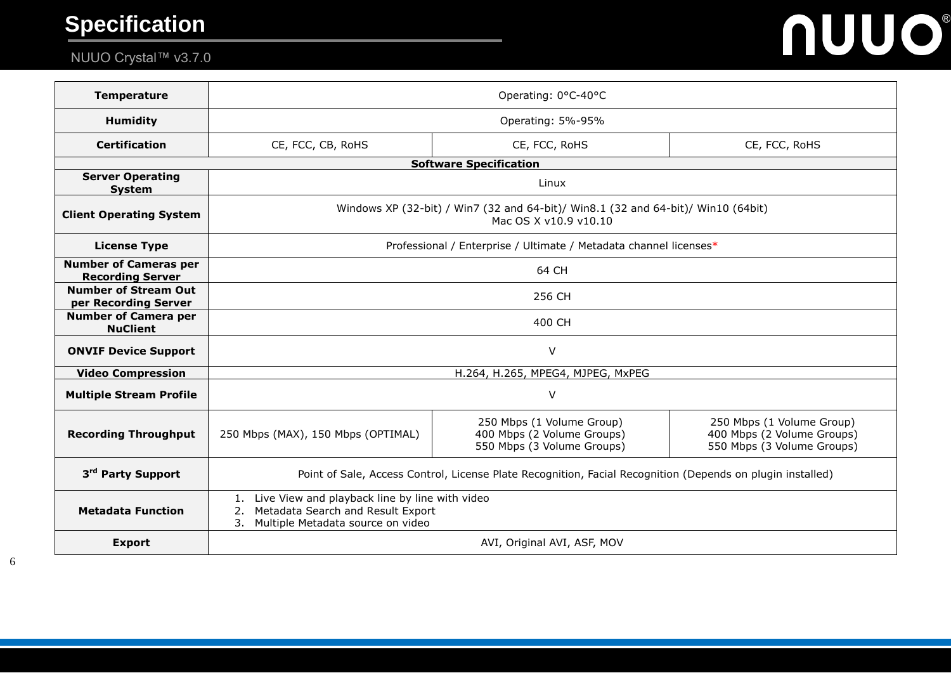# NUUO Crystal™ v3.7.0

# **NUUO®**

| <b>Temperature</b>                                      | Operating: 0°C-40°C                                                                                                                        |                                                                                       |                                                                                       |  |  |
|---------------------------------------------------------|--------------------------------------------------------------------------------------------------------------------------------------------|---------------------------------------------------------------------------------------|---------------------------------------------------------------------------------------|--|--|
| <b>Humidity</b>                                         | Operating: 5%-95%                                                                                                                          |                                                                                       |                                                                                       |  |  |
| <b>Certification</b>                                    | CE, FCC, CB, RoHS<br>CE, FCC, RoHS<br>CE, FCC, RoHS                                                                                        |                                                                                       |                                                                                       |  |  |
| <b>Software Specification</b>                           |                                                                                                                                            |                                                                                       |                                                                                       |  |  |
| <b>Server Operating</b><br><b>System</b>                | Linux                                                                                                                                      |                                                                                       |                                                                                       |  |  |
| <b>Client Operating System</b>                          | Windows XP (32-bit) / Win7 (32 and 64-bit)/ Win8.1 (32 and 64-bit)/ Win10 (64bit)<br>Mac OS X v10.9 v10.10                                 |                                                                                       |                                                                                       |  |  |
| <b>License Type</b>                                     | Professional / Enterprise / Ultimate / Metadata channel licenses*                                                                          |                                                                                       |                                                                                       |  |  |
| <b>Number of Cameras per</b><br><b>Recording Server</b> | 64 CH                                                                                                                                      |                                                                                       |                                                                                       |  |  |
| <b>Number of Stream Out</b><br>per Recording Server     | 256 CH                                                                                                                                     |                                                                                       |                                                                                       |  |  |
| <b>Number of Camera per</b><br><b>NuClient</b>          | 400 CH                                                                                                                                     |                                                                                       |                                                                                       |  |  |
| <b>ONVIF Device Support</b>                             | $\vee$                                                                                                                                     |                                                                                       |                                                                                       |  |  |
| <b>Video Compression</b>                                | H.264, H.265, MPEG4, MJPEG, MxPEG                                                                                                          |                                                                                       |                                                                                       |  |  |
| <b>Multiple Stream Profile</b>                          | V                                                                                                                                          |                                                                                       |                                                                                       |  |  |
| <b>Recording Throughput</b>                             | 250 Mbps (MAX), 150 Mbps (OPTIMAL)                                                                                                         | 250 Mbps (1 Volume Group)<br>400 Mbps (2 Volume Groups)<br>550 Mbps (3 Volume Groups) | 250 Mbps (1 Volume Group)<br>400 Mbps (2 Volume Groups)<br>550 Mbps (3 Volume Groups) |  |  |
| 3 <sup>rd</sup> Party Support                           | Point of Sale, Access Control, License Plate Recognition, Facial Recognition (Depends on plugin installed)                                 |                                                                                       |                                                                                       |  |  |
| <b>Metadata Function</b>                                | Live View and playback line by line with video<br>1.<br>Metadata Search and Result Export<br>2.<br>Multiple Metadata source on video<br>3. |                                                                                       |                                                                                       |  |  |
| <b>Export</b>                                           | AVI, Original AVI, ASF, MOV                                                                                                                |                                                                                       |                                                                                       |  |  |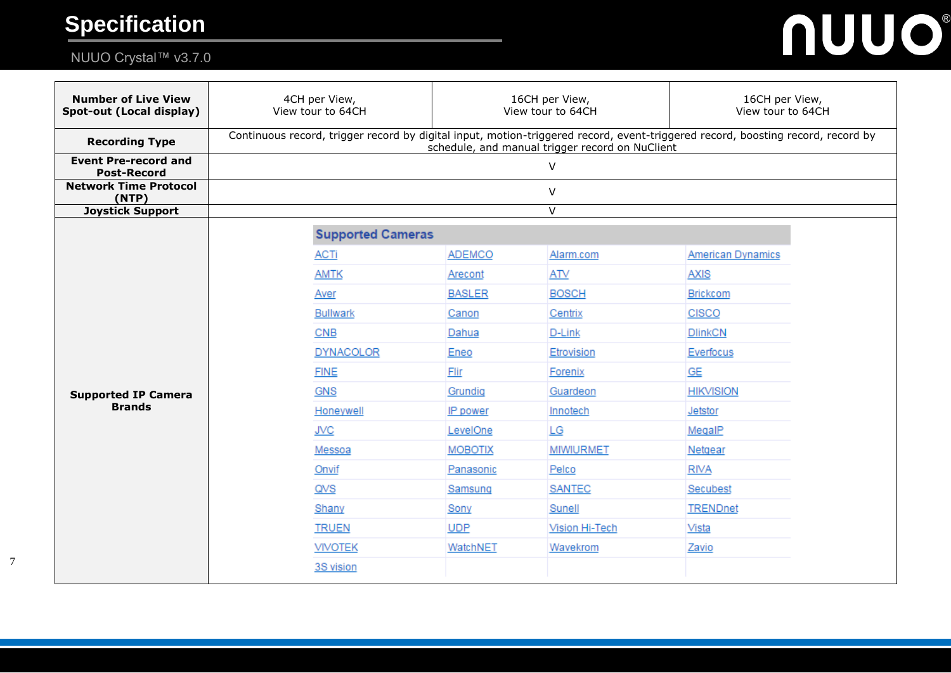# NUUO Crystal™ v3.7.0



| <b>Number of Live View</b><br>Spot-out (Local display) | 4CH per View,<br>View tour to 64CH                                                                                                                                                 | 16CH per View,<br>View tour to 64CH |                  | 16CH per View,<br>View tour to 64CH |  |  |
|--------------------------------------------------------|------------------------------------------------------------------------------------------------------------------------------------------------------------------------------------|-------------------------------------|------------------|-------------------------------------|--|--|
| <b>Recording Type</b>                                  | Continuous record, trigger record by digital input, motion-triggered record, event-triggered record, boosting record, record by<br>schedule, and manual trigger record on NuClient |                                     |                  |                                     |  |  |
| <b>Event Pre-record and</b><br><b>Post-Record</b>      | $\vee$                                                                                                                                                                             |                                     |                  |                                     |  |  |
| <b>Network Time Protocol</b><br>(NTP)                  | V                                                                                                                                                                                  |                                     |                  |                                     |  |  |
| <b>Joystick Support</b>                                | $\overline{\mathsf{V}}$                                                                                                                                                            |                                     |                  |                                     |  |  |
|                                                        | <b>Supported Cameras</b>                                                                                                                                                           |                                     |                  |                                     |  |  |
|                                                        | <b>ACTi</b>                                                                                                                                                                        | <b>ADEMCO</b>                       | Alarm.com        | <b>American Dynamics</b>            |  |  |
|                                                        | <b>AMTK</b>                                                                                                                                                                        | Arecont                             | <b>ATV</b>       | <b>AXIS</b>                         |  |  |
|                                                        | Aver                                                                                                                                                                               | <b>BASLER</b>                       | <b>BOSCH</b>     | <b>Brickcom</b>                     |  |  |
|                                                        | <b>Bullwark</b>                                                                                                                                                                    | Canon                               | Centrix          | <b>CISCO</b>                        |  |  |
|                                                        | CNB                                                                                                                                                                                | Dahua                               | D-Link           | <b>DlinkCN</b>                      |  |  |
|                                                        | <b>DYNACOLOR</b>                                                                                                                                                                   | Eneo                                | Etrovision       | Everfocus                           |  |  |
|                                                        | <b>FINE</b>                                                                                                                                                                        | Flir                                | Forenix          | GE                                  |  |  |
| <b>Supported IP Camera</b>                             | <b>GNS</b>                                                                                                                                                                         | Grundig                             | Guardeon         | <b>HIKVISION</b>                    |  |  |
| <b>Brands</b>                                          | Honeywell                                                                                                                                                                          | IP power                            | Innotech         | Jetstor                             |  |  |
|                                                        | <b>JVC</b>                                                                                                                                                                         | LevelOne                            | LG               | MegalP                              |  |  |
|                                                        | Messoa                                                                                                                                                                             | <b>MOBOTIX</b>                      | <b>MIWIURMET</b> | Netgear                             |  |  |
|                                                        | Onvif                                                                                                                                                                              | Panasonic                           | Pelco            | <b>RIVA</b>                         |  |  |
|                                                        | QVS                                                                                                                                                                                | Samsung                             | <b>SANTEC</b>    | Secubest                            |  |  |
|                                                        | Shany                                                                                                                                                                              | Sony                                | Sunell           | <b>TRENDnet</b>                     |  |  |
|                                                        | <b>TRUEN</b>                                                                                                                                                                       | <b>UDP</b>                          | Vision Hi-Tech   | Vista                               |  |  |
|                                                        | <b>VIVOTEK</b>                                                                                                                                                                     | WatchNET                            | Wavekrom         | Zavio                               |  |  |
|                                                        | 3S vision                                                                                                                                                                          |                                     |                  |                                     |  |  |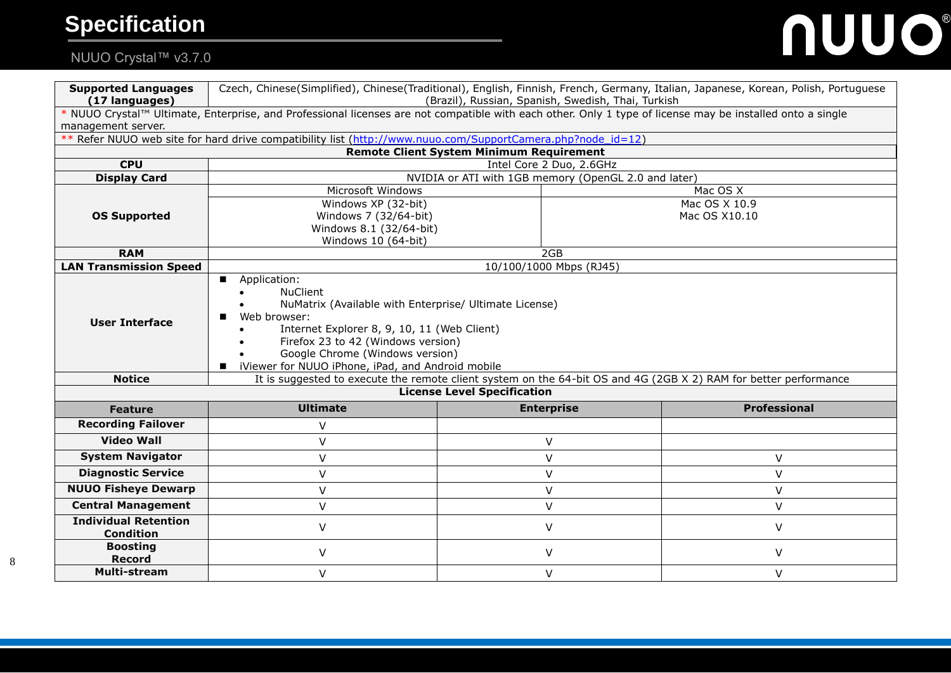# **NUUO®**

# NUUO Crystal™ v3.7.0

| <b>Supported Languages</b><br>(17 languages)    | Czech, Chinese(Simplified), Chinese(Traditional), English, Finnish, French, Germany, Italian, Japanese, Korean, Polish, Portuguese<br>(Brazil), Russian, Spanish, Swedish, Thai, Turkish                                                                                                                                   |                                                 |                     |  |  |
|-------------------------------------------------|----------------------------------------------------------------------------------------------------------------------------------------------------------------------------------------------------------------------------------------------------------------------------------------------------------------------------|-------------------------------------------------|---------------------|--|--|
|                                                 | * NUUO Crystal™ Ultimate, Enterprise, and Professional licenses are not compatible with each other. Only 1 type of license may be installed onto a single                                                                                                                                                                  |                                                 |                     |  |  |
| management server.                              |                                                                                                                                                                                                                                                                                                                            |                                                 |                     |  |  |
|                                                 | Refer NUUO web site for hard drive compatibility list (http://www.nuuo.com/SupportCamera.php?node id=12)                                                                                                                                                                                                                   |                                                 |                     |  |  |
|                                                 |                                                                                                                                                                                                                                                                                                                            | <b>Remote Client System Minimum Requirement</b> |                     |  |  |
| <b>CPU</b>                                      | Intel Core 2 Duo, 2.6GHz                                                                                                                                                                                                                                                                                                   |                                                 |                     |  |  |
| <b>Display Card</b>                             | NVIDIA or ATI with 1GB memory (OpenGL 2.0 and later)                                                                                                                                                                                                                                                                       |                                                 |                     |  |  |
|                                                 | Microsoft Windows                                                                                                                                                                                                                                                                                                          |                                                 | Mac OS X            |  |  |
|                                                 | Windows XP (32-bit)                                                                                                                                                                                                                                                                                                        |                                                 | Mac OS X 10.9       |  |  |
| <b>OS Supported</b>                             | Windows 7 (32/64-bit)<br>Windows 8.1 (32/64-bit)                                                                                                                                                                                                                                                                           |                                                 | Mac OS X10.10       |  |  |
|                                                 | Windows 10 (64-bit)                                                                                                                                                                                                                                                                                                        |                                                 |                     |  |  |
| <b>RAM</b>                                      | 2GB                                                                                                                                                                                                                                                                                                                        |                                                 |                     |  |  |
| <b>LAN Transmission Speed</b>                   | 10/100/1000 Mbps (RJ45)                                                                                                                                                                                                                                                                                                    |                                                 |                     |  |  |
| <b>User Interface</b>                           | Application:<br>$\blacksquare$<br><b>NuClient</b><br>NuMatrix (Available with Enterprise/ Ultimate License)<br>Web browser:<br>Internet Explorer 8, 9, 10, 11 (Web Client)<br>Firefox 23 to 42 (Windows version)<br>Google Chrome (Windows version)<br>iViewer for NUUO iPhone, iPad, and Android mobile<br>$\blacksquare$ |                                                 |                     |  |  |
| <b>Notice</b>                                   | It is suggested to execute the remote client system on the 64-bit OS and 4G (2GB X 2) RAM for better performance                                                                                                                                                                                                           |                                                 |                     |  |  |
|                                                 |                                                                                                                                                                                                                                                                                                                            | <b>License Level Specification</b>              |                     |  |  |
| <b>Feature</b>                                  | <b>Ultimate</b>                                                                                                                                                                                                                                                                                                            | <b>Enterprise</b>                               | <b>Professional</b> |  |  |
| <b>Recording Failover</b>                       | $\vee$                                                                                                                                                                                                                                                                                                                     |                                                 |                     |  |  |
| <b>Video Wall</b>                               | $\vee$                                                                                                                                                                                                                                                                                                                     | $\vee$                                          |                     |  |  |
| <b>System Navigator</b>                         | V                                                                                                                                                                                                                                                                                                                          | V                                               | V                   |  |  |
| <b>Diagnostic Service</b>                       | V                                                                                                                                                                                                                                                                                                                          | $\vee$                                          | V                   |  |  |
| <b>NUUO Fisheye Dewarp</b>                      | $\vee$                                                                                                                                                                                                                                                                                                                     | $\vee$                                          | $\vee$              |  |  |
| <b>Central Management</b>                       | $\vee$                                                                                                                                                                                                                                                                                                                     | V                                               | V                   |  |  |
| <b>Individual Retention</b><br><b>Condition</b> | $\vee$                                                                                                                                                                                                                                                                                                                     | $\vee$                                          | V                   |  |  |
| <b>Boosting</b><br><b>Record</b>                | V                                                                                                                                                                                                                                                                                                                          | V                                               | V                   |  |  |
| <b>Multi-stream</b>                             | V                                                                                                                                                                                                                                                                                                                          | V                                               | V                   |  |  |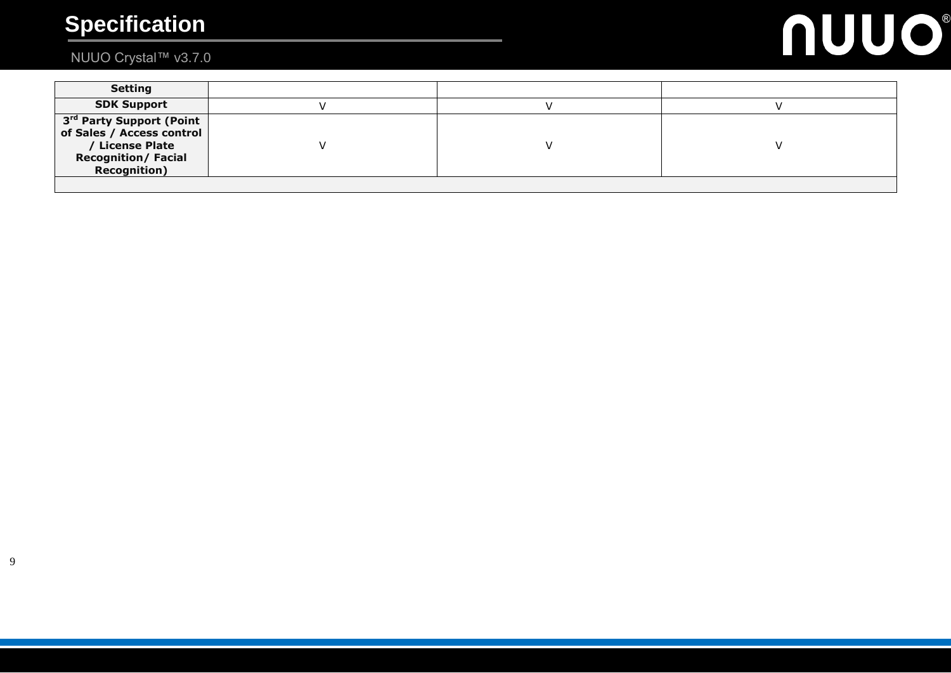# **NUUO®**

# NUUO Crystal™ v3.7.0

| <b>Setting</b>                                                                                                                             |  |  |
|--------------------------------------------------------------------------------------------------------------------------------------------|--|--|
| <b>SDK Support</b>                                                                                                                         |  |  |
| 3 <sup>rd</sup> Party Support (Point<br>of Sales / Access control<br>/ License Plate<br><b>Recognition/ Facial</b><br><b>Recognition</b> ) |  |  |
|                                                                                                                                            |  |  |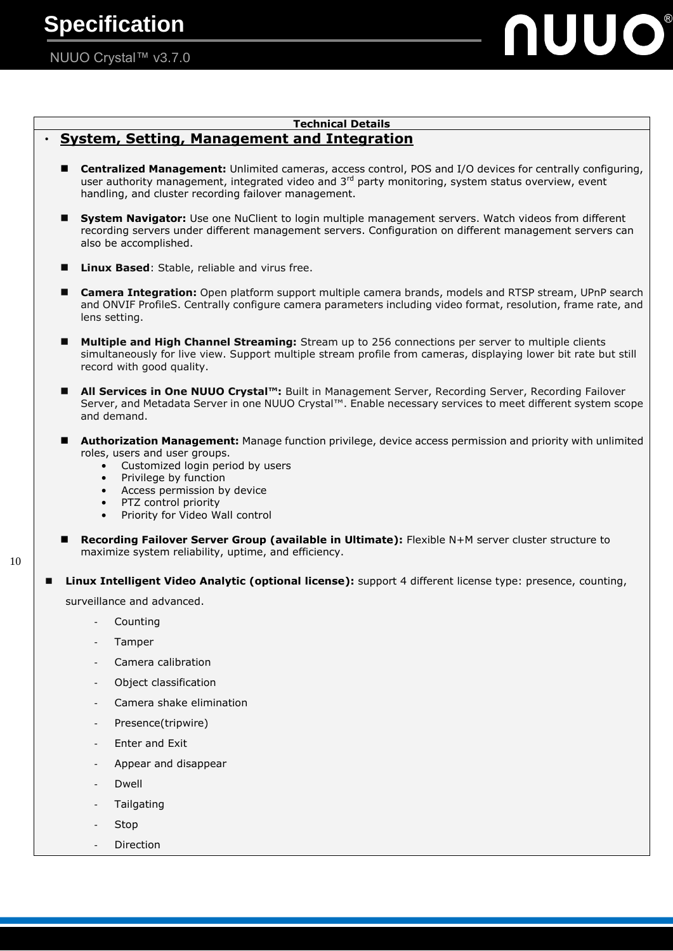# JUO®

# **Technical Details**

## **System, Setting, Management and Integration**

- **Centralized Management:** Unlimited cameras, access control, POS and I/O devices for centrally configuring, user authority management, integrated video and 3<sup>rd</sup> party monitoring, system status overview, event handling, and cluster recording failover management.
- **System Navigator:** Use one NuClient to login multiple management servers. Watch videos from different recording servers under different management servers. Configuration on different management servers can also be accomplished.
- **Linux Based**: Stable, reliable and virus free.
- **Camera Integration:** Open platform support multiple camera brands, models and RTSP stream, UPnP search and ONVIF ProfileS. Centrally configure camera parameters including video format, resolution, frame rate, and lens setting.
- **Multiple and High Channel Streaming:** Stream up to 256 connections per server to multiple clients simultaneously for live view. Support multiple stream profile from cameras, displaying lower bit rate but still record with good quality.
- **All Services in One NUUO Crystal™:** Built in Management Server, Recording Server, Recording Failover Server, and Metadata Server in one NUUO Crystal™. Enable necessary services to meet different system scope and demand.
- **Authorization Management:** Manage function privilege, device access permission and priority with unlimited roles, users and user groups.
	- Customized login period by users
	- Privilege by function
	- Access permission by device
	- PTZ control priority
	- Priority for Video Wall control
	- **Recording Failover Server Group (available in Ultimate):** Flexible N+M server cluster structure to maximize system reliability, uptime, and efficiency.

 **Linux Intelligent Video Analytic (optional license):** support 4 different license type: presence, counting, surveillance and advanced.

- **Counting**
- Tamper

- Camera calibration
- Object classification
- Camera shake elimination
- Presence(tripwire)
- Enter and Exit
- Appear and disappear
- Dwell
- **Tailgating**
- **Stop**
- **Direction**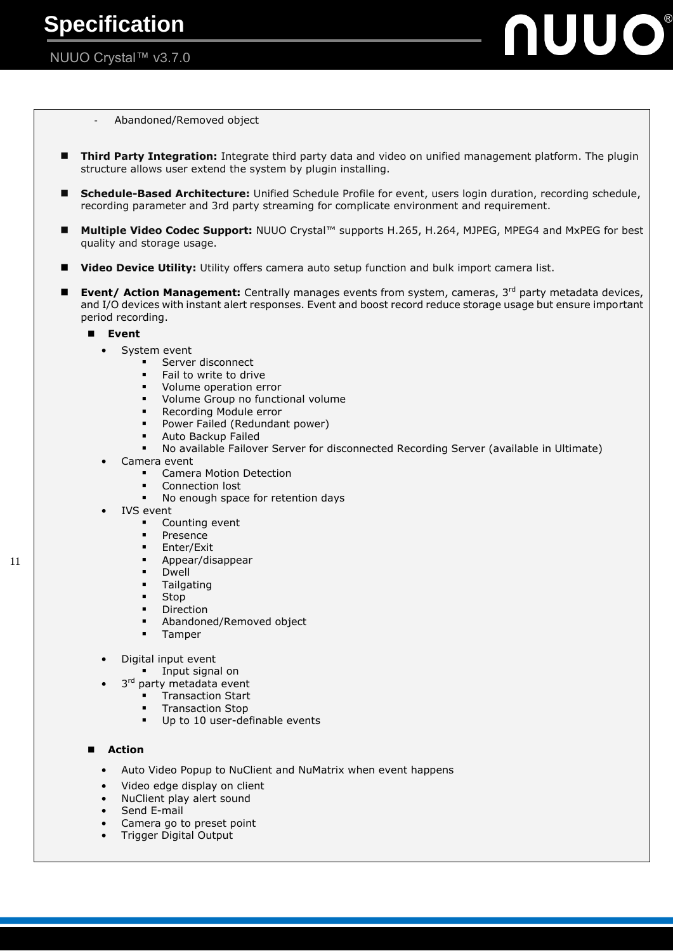

- Abandoned/Removed object

- **Third Party Integration:** Integrate third party data and video on unified management platform. The plugin structure allows user extend the system by plugin installing.
- **Schedule-Based Architecture:** Unified Schedule Profile for event, users login duration, recording schedule, recording parameter and 3rd party streaming for complicate environment and requirement.
- Multiple Video Codec Support: NUUO Crystal<sup>™</sup> supports H.265, H.264, MJPEG, MPEG4 and MxPEG for best quality and storage usage.
- **Video Device Utility:** Utility offers camera auto setup function and bulk import camera list.
- **Event/ Action Management:** Centrally manages events from system, cameras, 3<sup>rd</sup> party metadata devices, and I/O devices with instant alert responses. Event and boost record reduce storage usage but ensure important period recording.

#### **Event**

- System event
	- **Server disconnect**
	- Fail to write to drive
	- Volume operation error
	- **Volume Group no functional volume**
	- Recording Module error
	- Power Failed (Redundant power)
	- Auto Backup Failed
	- No available Failover Server for disconnected Recording Server (available in Ultimate)
- Camera event
	- Camera Motion Detection
	- Connection lost
	- No enough space for retention days
	- **IVS** event
		- Counting event
		- **Presence**
		- **Enter/Exit**
		- **Appear/disappear**
		- **Dwell**
		- **Tailgating**
		- **Stop**
		- Direction
		- Abandoned/Removed object
		- **Tamper**
- Digital input event
	- **Input signal on**
- 3<sup>rd</sup> party metadata event
	- **Transaction Start**
	- **Transaction Stop**
	- Up to 10 user-definable events

#### **Action**

- Auto Video Popup to NuClient and NuMatrix when event happens
- Video edge display on client
- NuClient play alert sound
- Send E-mail
- Camera go to preset point
- Trigger Digital Output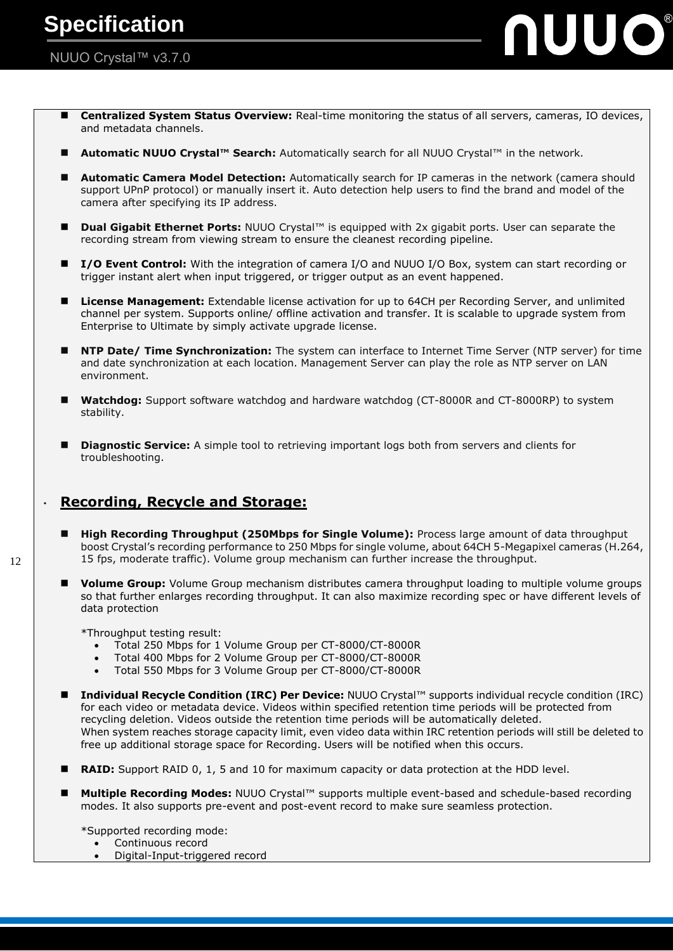### NUUO Crystal™ v3.7.0

 **Centralized System Status Overview:** Real-time monitoring the status of all servers, cameras, IO devices, and metadata channels.

UUO®

- **Automatic NUUO Crystal™ Search:** Automatically search for all NUUO Crystal™ in the network.
- **Automatic Camera Model Detection:** Automatically search for IP cameras in the network (camera should support UPnP protocol) or manually insert it. Auto detection help users to find the brand and model of the camera after specifying its IP address.
- **Dual Gigabit Ethernet Ports:** NUUO Crystal™ is equipped with 2x gigabit ports. User can separate the recording stream from viewing stream to ensure the cleanest recording pipeline.
- **I** /O Event Control: With the integration of camera I/O and NUUO I/O Box, system can start recording or trigger instant alert when input triggered, or trigger output as an event happened.
- **License Management:** Extendable license activation for up to 64CH per Recording Server, and unlimited channel per system. Supports online/ offline activation and transfer. It is scalable to upgrade system from Enterprise to Ultimate by simply activate upgrade license.
- **NTP Date/ Time Synchronization:** The system can interface to Internet Time Server (NTP server) for time and date synchronization at each location. Management Server can play the role as NTP server on LAN environment.
- Watchdog: Support software watchdog and hardware watchdog (CT-8000R and CT-8000RP) to system stability.
- **Diagnostic Service:** A simple tool to retrieving important logs both from servers and clients for troubleshooting.

### ‧ **Recording, Recycle and Storage:**

- **High Recording Throughput (250Mbps for Single Volume):** Process large amount of data throughput boost Crystal's recording performance to 250 Mbps for single volume, about 64CH 5-Megapixel cameras (H.264, 15 fps, moderate traffic). Volume group mechanism can further increase the throughput.
- **Volume Group:** Volume Group mechanism distributes camera throughput loading to multiple volume groups so that further enlarges recording throughput. It can also maximize recording spec or have different levels of data protection

\*Throughput testing result:

- Total 250 Mbps for 1 Volume Group per CT-8000/CT-8000R
- Total 400 Mbps for 2 Volume Group per CT-8000/CT-8000R
- Total 550 Mbps for 3 Volume Group per CT-8000/CT-8000R
- **Individual Recycle Condition (IRC) Per Device:** NUUO Crystal™ supports individual recycle condition (IRC) for each video or metadata device. Videos within specified retention time periods will be protected from recycling deletion. Videos outside the retention time periods will be automatically deleted. When system reaches storage capacity limit, even video data within IRC retention periods will still be deleted to free up additional storage space for Recording. Users will be notified when this occurs.
- **RAID:** Support RAID 0, 1, 5 and 10 for maximum capacity or data protection at the HDD level.
- **Multiple Recording Modes:** NUUO Crystal™ supports multiple event-based and schedule-based recording modes. It also supports pre-event and post-event record to make sure seamless protection.

\*Supported recording mode:

- Continuous record
- Digital-Input-triggered record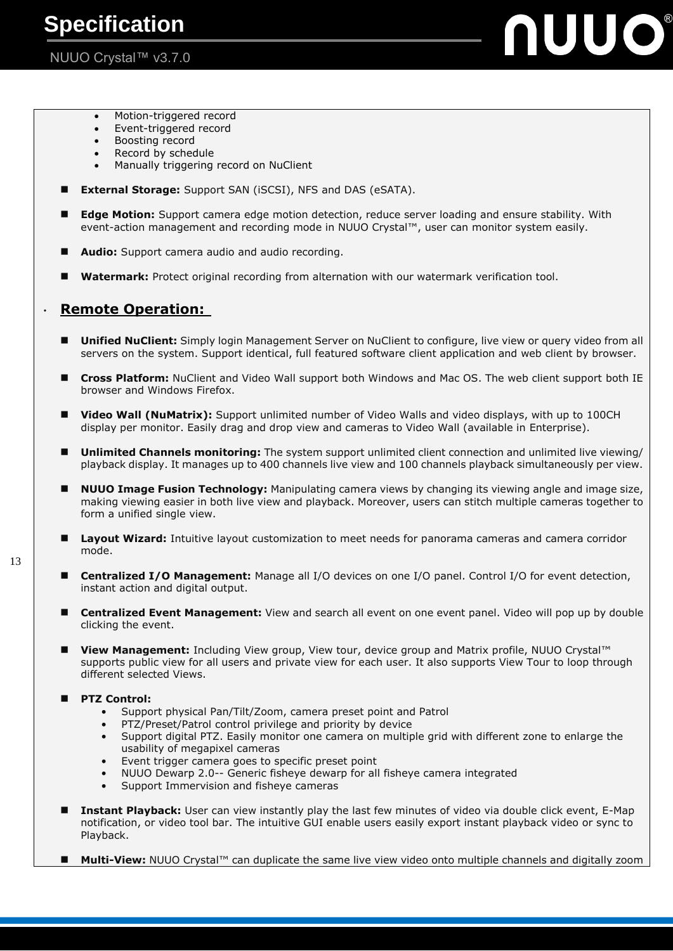# **NUUO®**

- Motion-triggered record
- Event-triggered record
- Boosting record
- Record by schedule Manually triggering record on NuClient
- **External Storage:** Support SAN (iSCSI), NFS and DAS (eSATA).
- **Edge Motion:** Support camera edge motion detection, reduce server loading and ensure stability. With event-action management and recording mode in NUUO Crystal™, user can monitor system easily.
- **Audio:** Support camera audio and audio recording.
- **Watermark:** Protect original recording from alternation with our watermark verification tool.

## ‧ **Remote Operation:**

- **Unified NuClient:** Simply login Management Server on NuClient to configure, live view or query video from all servers on the system. Support identical, full featured software client application and web client by browser.
- **Cross Platform:** NuClient and Video Wall support both Windows and Mac OS. The web client support both IE browser and Windows Firefox.
- **Video Wall (NuMatrix):** Support unlimited number of Video Walls and video displays, with up to 100CH display per monitor. Easily drag and drop view and cameras to Video Wall (available in Enterprise).
- **Unlimited Channels monitoring:** The system support unlimited client connection and unlimited live viewing/ playback display. It manages up to 400 channels live view and 100 channels playback simultaneously per view.
- **NUUO Image Fusion Technology:** Manipulating camera views by changing its viewing angle and image size, making viewing easier in both live view and playback. Moreover, users can stitch multiple cameras together to form a unified single view.
- **Layout Wizard:** Intuitive layout customization to meet needs for panorama cameras and camera corridor mode.
- **Centralized I/O Management:** Manage all I/O devices on one I/O panel. Control I/O for event detection, instant action and digital output.
- **Centralized Event Management:** View and search all event on one event panel. Video will pop up by double clicking the event.
- **View Management:** Including View group, View tour, device group and Matrix profile, NUUO Crystal™ supports public view for all users and private view for each user. It also supports View Tour to loop through different selected Views.

### **PTZ Control:**

- Support physical Pan/Tilt/Zoom, camera preset point and Patrol
- PTZ/Preset/Patrol control privilege and priority by device
- Support digital PTZ. Easily monitor one camera on multiple grid with different zone to enlarge the usability of megapixel cameras
- Event trigger camera goes to specific preset point
- NUUO Dewarp 2.0-- Generic fisheye dewarp for all fisheye camera integrated
- Support Immervision and fisheve cameras
- **Instant Playback:** User can view instantly play the last few minutes of video via double click event, E-Map notification, or video tool bar. The intuitive GUI enable users easily export instant playback video or sync to Playback.
- Multi-View: NUUO Crystal<sup>™</sup> can duplicate the same live view video onto multiple channels and digitally zoom